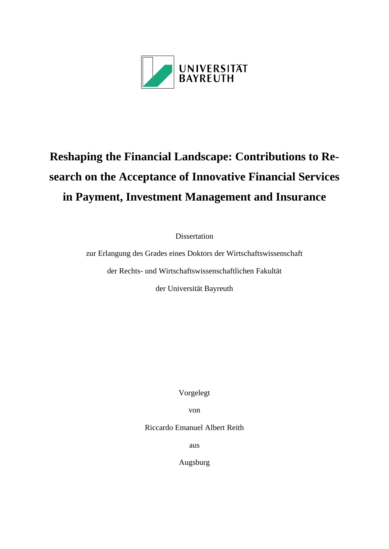

# **Reshaping the Financial Landscape: Contributions to Research on the Acceptance of Innovative Financial Services in Payment, Investment Management and Insurance**

Dissertation

zur Erlangung des Grades eines Doktors der Wirtschaftswissenschaft

der Rechts- und Wirtschaftswissenschaftlichen Fakultät

der Universität Bayreuth

Vorgelegt

von

Riccardo Emanuel Albert Reith

aus

Augsburg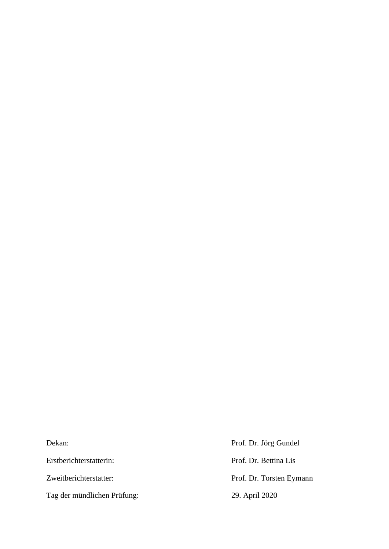Dekan: Prof. Dr. Jörg Gundel Erstberichterstatterin: Prof. Dr. Bettina Lis Zweitberichterstatter: Prof. Dr. Torsten Eymann Tag der mündlichen Prüfung: 29. April 2020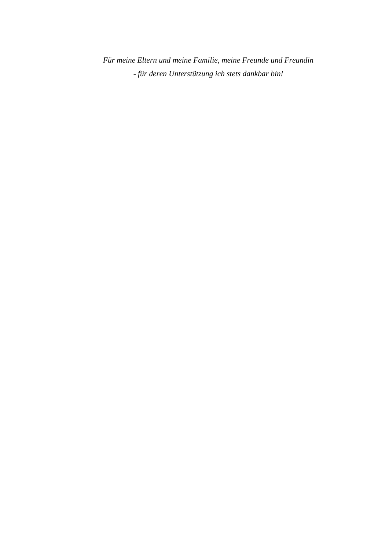*Für meine Eltern und meine Familie, meine Freunde und Freundin - für deren Unterstützung ich stets dankbar bin!*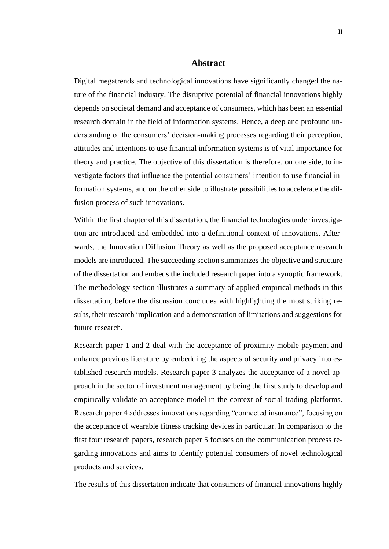# **Abstract**

Digital megatrends and technological innovations have significantly changed the nature of the financial industry. The disruptive potential of financial innovations highly depends on societal demand and acceptance of consumers, which has been an essential research domain in the field of information systems. Hence, a deep and profound understanding of the consumers' decision-making processes regarding their perception, attitudes and intentions to use financial information systems is of vital importance for theory and practice. The objective of this dissertation is therefore, on one side, to investigate factors that influence the potential consumers' intention to use financial information systems, and on the other side to illustrate possibilities to accelerate the diffusion process of such innovations.

Within the first chapter of this dissertation, the financial technologies under investigation are introduced and embedded into a definitional context of innovations. Afterwards, the Innovation Diffusion Theory as well as the proposed acceptance research models are introduced. The succeeding section summarizes the objective and structure of the dissertation and embeds the included research paper into a synoptic framework. The methodology section illustrates a summary of applied empirical methods in this dissertation, before the discussion concludes with highlighting the most striking results, their research implication and a demonstration of limitations and suggestions for future research.

Research paper 1 and 2 deal with the acceptance of proximity mobile payment and enhance previous literature by embedding the aspects of security and privacy into established research models. Research paper 3 analyzes the acceptance of a novel approach in the sector of investment management by being the first study to develop and empirically validate an acceptance model in the context of social trading platforms. Research paper 4 addresses innovations regarding "connected insurance", focusing on the acceptance of wearable fitness tracking devices in particular. In comparison to the first four research papers, research paper 5 focuses on the communication process regarding innovations and aims to identify potential consumers of novel technological products and services.

The results of this dissertation indicate that consumers of financial innovations highly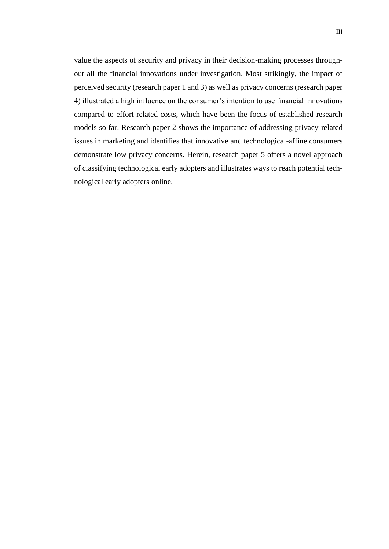value the aspects of security and privacy in their decision-making processes throughout all the financial innovations under investigation. Most strikingly, the impact of perceived security (research paper 1 and 3) as well as privacy concerns (research paper 4) illustrated a high influence on the consumer's intention to use financial innovations compared to effort-related costs, which have been the focus of established research models so far. Research paper 2 shows the importance of addressing privacy-related issues in marketing and identifies that innovative and technological-affine consumers demonstrate low privacy concerns. Herein, research paper 5 offers a novel approach of classifying technological early adopters and illustrates ways to reach potential technological early adopters online.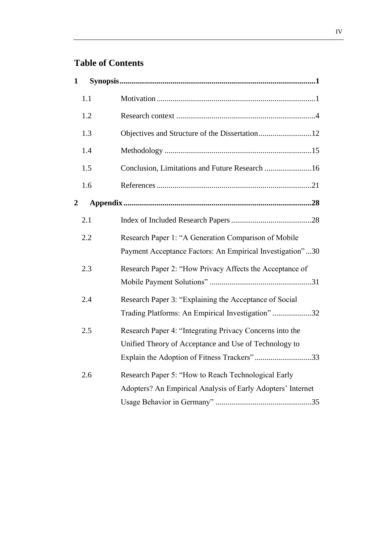# **Table of Contents**

| 1 |     |                                                                                                                                                                  |
|---|-----|------------------------------------------------------------------------------------------------------------------------------------------------------------------|
|   | 1.1 |                                                                                                                                                                  |
|   | 1.2 |                                                                                                                                                                  |
|   | 1.3 | Objectives and Structure of the Dissertation12                                                                                                                   |
|   | 1.4 |                                                                                                                                                                  |
|   | 1.5 | Conclusion, Limitations and Future Research 16                                                                                                                   |
|   | 1.6 |                                                                                                                                                                  |
| 2 |     |                                                                                                                                                                  |
|   | 2.1 |                                                                                                                                                                  |
|   | 2.2 | Research Paper 1: "A Generation Comparison of Mobile<br>Payment Acceptance Factors: An Empirical Investigation"30                                                |
|   | 2.3 | Research Paper 2: "How Privacy Affects the Acceptance of                                                                                                         |
|   | 2.4 | Research Paper 3: "Explaining the Acceptance of Social<br>Trading Platforms: An Empirical Investigation"32                                                       |
|   | 2.5 | Research Paper 4: "Integrating Privacy Concerns into the<br>Unified Theory of Acceptance and Use of Technology to<br>Explain the Adoption of Fitness Trackers"33 |
|   | 2.6 | Research Paper 5: "How to Reach Technological Early<br>Adopters? An Empirical Analysis of Early Adopters' Internet                                               |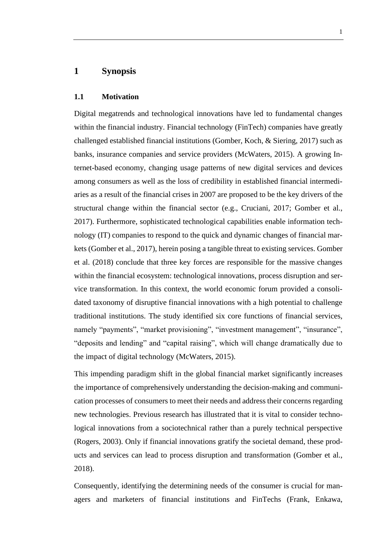# <span id="page-6-0"></span>**1 Synopsis**

#### <span id="page-6-1"></span>**1.1 Motivation**

Digital megatrends and technological innovations have led to fundamental changes within the financial industry. Financial technology (FinTech) companies have greatly challenged established financial institutions (Gomber, Koch, & Siering, 2017) such as banks, insurance companies and service providers (McWaters, 2015). A growing Internet-based economy, changing usage patterns of new digital services and devices among consumers as well as the loss of credibility in established financial intermediaries as a result of the financial crises in 2007 are proposed to be the key drivers of the structural change within the financial sector (e.g., Cruciani, 2017; Gomber et al., 2017). Furthermore, sophisticated technological capabilities enable information technology (IT) companies to respond to the quick and dynamic changes of financial markets (Gomber et al., 2017), herein posing a tangible threat to existing services. Gomber et al. (2018) conclude that three key forces are responsible for the massive changes within the financial ecosystem: technological innovations, process disruption and service transformation. In this context, the world economic forum provided a consolidated taxonomy of disruptive financial innovations with a high potential to challenge traditional institutions. The study identified six core functions of financial services, namely "payments", "market provisioning", "investment management", "insurance", "deposits and lending" and "capital raising", which will change dramatically due to the impact of digital technology (McWaters, 2015).

This impending paradigm shift in the global financial market significantly increases the importance of comprehensively understanding the decision-making and communication processes of consumers to meet their needs and address their concerns regarding new technologies. Previous research has illustrated that it is vital to consider technological innovations from a sociotechnical rather than a purely technical perspective (Rogers, 2003). Only if financial innovations gratify the societal demand, these products and services can lead to process disruption and transformation (Gomber et al., 2018).

Consequently, identifying the determining needs of the consumer is crucial for managers and marketers of financial institutions and FinTechs (Frank, Enkawa,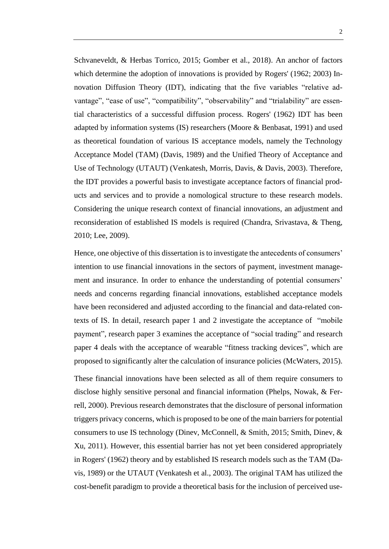Schvaneveldt, & Herbas Torrico, 2015; Gomber et al., 2018). An anchor of factors which determine the adoption of innovations is provided by Rogers' (1962; 2003) Innovation Diffusion Theory (IDT), indicating that the five variables "relative advantage", "ease of use", "compatibility", "observability" and "trialability" are essential characteristics of a successful diffusion process. Rogers' (1962) IDT has been adapted by information systems (IS) researchers (Moore & Benbasat, 1991) and used as theoretical foundation of various IS acceptance models, namely the Technology Acceptance Model (TAM) (Davis, 1989) and the Unified Theory of Acceptance and Use of Technology (UTAUT) (Venkatesh, Morris, Davis, & Davis, 2003). Therefore, the IDT provides a powerful basis to investigate acceptance factors of financial products and services and to provide a nomological structure to these research models. Considering the unique research context of financial innovations, an adjustment and reconsideration of established IS models is required (Chandra, Srivastava, & Theng, 2010; Lee, 2009).

Hence, one objective of this dissertation is to investigate the antecedents of consumers' intention to use financial innovations in the sectors of payment, investment management and insurance. In order to enhance the understanding of potential consumers' needs and concerns regarding financial innovations, established acceptance models have been reconsidered and adjusted according to the financial and data-related contexts of IS. In detail, research paper 1 and 2 investigate the acceptance of "mobile payment", research paper 3 examines the acceptance of "social trading" and research paper 4 deals with the acceptance of wearable "fitness tracking devices", which are proposed to significantly alter the calculation of insurance policies (McWaters, 2015).

These financial innovations have been selected as all of them require consumers to disclose highly sensitive personal and financial information (Phelps, Nowak, & Ferrell, 2000). Previous research demonstrates that the disclosure of personal information triggers privacy concerns, which is proposed to be one of the main barriers for potential consumers to use IS technology (Dinev, McConnell, & Smith, 2015; Smith, Dinev, & Xu, 2011). However, this essential barrier has not yet been considered appropriately in Rogers' (1962) theory and by established IS research models such as the TAM (Davis, 1989) or the UTAUT (Venkatesh et al., 2003). The original TAM has utilized the cost-benefit paradigm to provide a theoretical basis for the inclusion of perceived use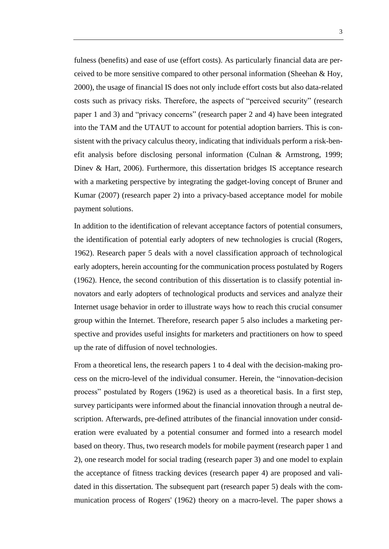fulness (benefits) and ease of use (effort costs). As particularly financial data are perceived to be more sensitive compared to other personal information (Sheehan  $\&$  Hoy, 2000), the usage of financial IS does not only include effort costs but also data-related costs such as privacy risks. Therefore, the aspects of "perceived security" (research paper 1 and 3) and "privacy concerns" (research paper 2 and 4) have been integrated into the TAM and the UTAUT to account for potential adoption barriers. This is consistent with the privacy calculus theory, indicating that individuals perform a risk-benefit analysis before disclosing personal information (Culnan & Armstrong, 1999; Dinev & Hart, 2006). Furthermore, this dissertation bridges IS acceptance research with a marketing perspective by integrating the gadget-loving concept of Bruner and Kumar (2007) (research paper 2) into a privacy-based acceptance model for mobile payment solutions.

In addition to the identification of relevant acceptance factors of potential consumers, the identification of potential early adopters of new technologies is crucial (Rogers, 1962). Research paper 5 deals with a novel classification approach of technological early adopters, herein accounting for the communication process postulated by Rogers (1962). Hence, the second contribution of this dissertation is to classify potential innovators and early adopters of technological products and services and analyze their Internet usage behavior in order to illustrate ways how to reach this crucial consumer group within the Internet. Therefore, research paper 5 also includes a marketing perspective and provides useful insights for marketers and practitioners on how to speed up the rate of diffusion of novel technologies.

From a theoretical lens, the research papers 1 to 4 deal with the decision-making process on the micro-level of the individual consumer. Herein, the "innovation-decision process" postulated by Rogers (1962) is used as a theoretical basis. In a first step, survey participants were informed about the financial innovation through a neutral description. Afterwards, pre-defined attributes of the financial innovation under consideration were evaluated by a potential consumer and formed into a research model based on theory. Thus, two research models for mobile payment (research paper 1 and 2), one research model for social trading (research paper 3) and one model to explain the acceptance of fitness tracking devices (research paper 4) are proposed and validated in this dissertation. The subsequent part (research paper 5) deals with the communication process of Rogers' (1962) theory on a macro-level. The paper shows a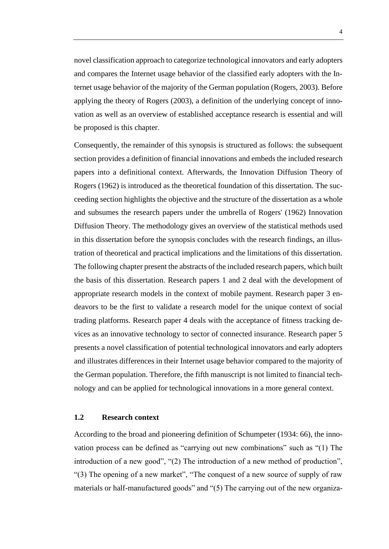novel classification approach to categorize technological innovators and early adopters and compares the Internet usage behavior of the classified early adopters with the Internet usage behavior of the majority of the German population (Rogers, 2003). Before applying the theory of Rogers (2003), a definition of the underlying concept of innovation as well as an overview of established acceptance research is essential and will be proposed is this chapter.

Consequently, the remainder of this synopsis is structured as follows: the subsequent section provides a definition of financial innovations and embeds the included research papers into a definitional context. Afterwards, the Innovation Diffusion Theory of Rogers (1962) is introduced as the theoretical foundation of this dissertation. The succeeding section highlights the objective and the structure of the dissertation as a whole and subsumes the research papers under the umbrella of Rogers' (1962) Innovation Diffusion Theory. The methodology gives an overview of the statistical methods used in this dissertation before the synopsis concludes with the research findings, an illustration of theoretical and practical implications and the limitations of this dissertation. The following chapter present the abstracts of the included research papers, which built the basis of this dissertation. Research papers 1 and 2 deal with the development of appropriate research models in the context of mobile payment. Research paper 3 endeavors to be the first to validate a research model for the unique context of social trading platforms. Research paper 4 deals with the acceptance of fitness tracking devices as an innovative technology to sector of connected insurance. Research paper 5 presents a novel classification of potential technological innovators and early adopters and illustrates differences in their Internet usage behavior compared to the majority of the German population. Therefore, the fifth manuscript is not limited to financial technology and can be applied for technological innovations in a more general context.

### <span id="page-9-0"></span>**1.2 Research context**

According to the broad and pioneering definition of Schumpeter (1934: 66), the innovation process can be defined as "carrying out new combinations" such as "(1) The introduction of a new good", "(2) The introduction of a new method of production", "(3) The opening of a new market", "The conquest of a new source of supply of raw materials or half-manufactured goods" and "(5) The carrying out of the new organiza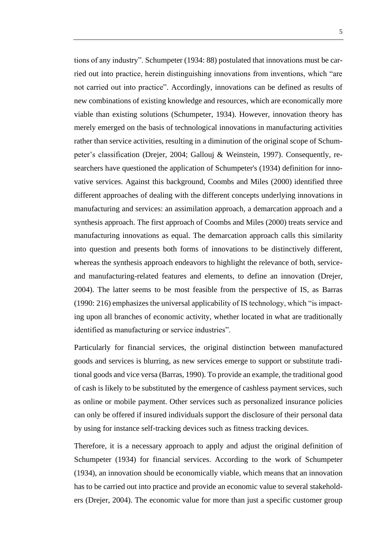tions of any industry". Schumpeter (1934: 88) postulated that innovations must be carried out into practice, herein distinguishing innovations from inventions, which "are not carried out into practice". Accordingly, innovations can be defined as results of new combinations of existing knowledge and resources, which are economically more viable than existing solutions (Schumpeter, 1934). However, innovation theory has merely emerged on the basis of technological innovations in manufacturing activities rather than service activities, resulting in a diminution of the original scope of Schumpeter's classification (Drejer, 2004; Gallouj & Weinstein, 1997). Consequently, researchers have questioned the application of Schumpeter's (1934) definition for innovative services. Against this background, Coombs and Miles (2000) identified three different approaches of dealing with the different concepts underlying innovations in manufacturing and services: an assimilation approach, a demarcation approach and a synthesis approach. The first approach of Coombs and Miles (2000) treats service and manufacturing innovations as equal. The demarcation approach calls this similarity into question and presents both forms of innovations to be distinctively different, whereas the synthesis approach endeavors to highlight the relevance of both, serviceand manufacturing-related features and elements, to define an innovation (Drejer, 2004). The latter seems to be most feasible from the perspective of IS, as Barras (1990: 216) emphasizes the universal applicability of IS technology, which "is impacting upon all branches of economic activity, whether located in what are traditionally identified as manufacturing or service industries".

Particularly for financial services, the original distinction between manufactured goods and services is blurring, as new services emerge to support or substitute traditional goods and vice versa (Barras, 1990). To provide an example, the traditional good of cash is likely to be substituted by the emergence of cashless payment services, such as online or mobile payment. Other services such as personalized insurance policies can only be offered if insured individuals support the disclosure of their personal data by using for instance self-tracking devices such as fitness tracking devices.

Therefore, it is a necessary approach to apply and adjust the original definition of Schumpeter (1934) for financial services. According to the work of Schumpeter (1934), an innovation should be economically viable, which means that an innovation has to be carried out into practice and provide an economic value to several stakeholders (Drejer, 2004). The economic value for more than just a specific customer group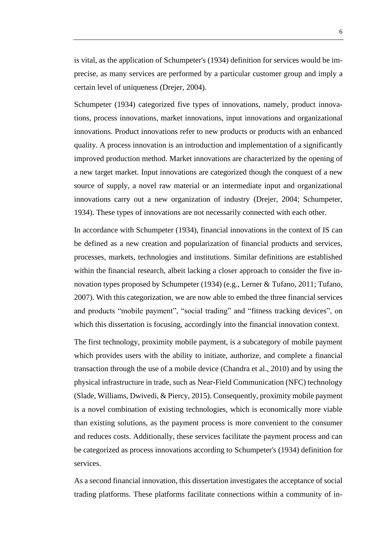is vital, as the application of Schumpeter's (1934) definition for services would be imprecise, as many services are performed by a particular customer group and imply a certain level of uniqueness (Drejer, 2004).

Schumpeter (1934) categorized five types of innovations, namely, product innovations, process innovations, market innovations, input innovations and organizational innovations. Product innovations refer to new products or products with an enhanced quality. A process innovation is an introduction and implementation of a significantly improved production method. Market innovations are characterized by the opening of a new target market. Input innovations are categorized though the conquest of a new source of supply, a novel raw material or an intermediate input and organizational innovations carry out a new organization of industry (Drejer, 2004; Schumpeter, 1934). These types of innovations are not necessarily connected with each other.

In accordance with Schumpeter (1934), financial innovations in the context of IS can be defined as a new creation and popularization of financial products and services, processes, markets, technologies and institutions. Similar definitions are established within the financial research, albeit lacking a closer approach to consider the five innovation types proposed by Schumpeter (1934) (e.g., Lerner & Tufano, 2011; Tufano, 2007). With this categorization, we are now able to embed the three financial services and products "mobile payment", "social trading" and "fitness tracking devices", on which this dissertation is focusing, accordingly into the financial innovation context.

The first technology, proximity mobile payment, is a subcategory of mobile payment which provides users with the ability to initiate, authorize, and complete a financial transaction through the use of a mobile device (Chandra et al., 2010) and by using the physical infrastructure in trade, such as Near-Field Communication (NFC) technology (Slade, Williams, Dwivedi, & Piercy, 2015). Consequently, proximity mobile payment is a novel combination of existing technologies, which is economically more viable than existing solutions, as the payment process is more convenient to the consumer and reduces costs. Additionally, these services facilitate the payment process and can be categorized as process innovations according to Schumpeter's (1934) definition for services.

As a second financial innovation, this dissertation investigates the acceptance of social trading platforms. These platforms facilitate connections within a community of in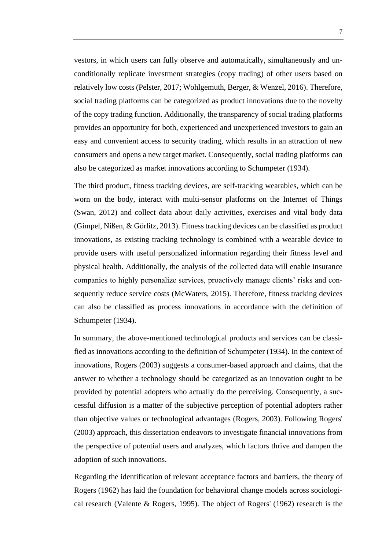vestors, in which users can fully observe and automatically, simultaneously and unconditionally replicate investment strategies (copy trading) of other users based on relatively low costs (Pelster, 2017; Wohlgemuth, Berger, & Wenzel, 2016). Therefore, social trading platforms can be categorized as product innovations due to the novelty of the copy trading function. Additionally, the transparency of social trading platforms provides an opportunity for both, experienced and unexperienced investors to gain an easy and convenient access to security trading, which results in an attraction of new consumers and opens a new target market. Consequently, social trading platforms can also be categorized as market innovations according to Schumpeter (1934).

The third product, fitness tracking devices, are self-tracking wearables, which can be worn on the body, interact with multi-sensor platforms on the Internet of Things (Swan, 2012) and collect data about daily activities, exercises and vital body data (Gimpel, Nißen, & Görlitz, 2013). Fitness tracking devices can be classified as product innovations, as existing tracking technology is combined with a wearable device to provide users with useful personalized information regarding their fitness level and physical health. Additionally, the analysis of the collected data will enable insurance companies to highly personalize services, proactively manage clients' risks and consequently reduce service costs (McWaters, 2015). Therefore, fitness tracking devices can also be classified as process innovations in accordance with the definition of Schumpeter (1934).

In summary, the above-mentioned technological products and services can be classified as innovations according to the definition of Schumpeter (1934). In the context of innovations, Rogers (2003) suggests a consumer-based approach and claims, that the answer to whether a technology should be categorized as an innovation ought to be provided by potential adopters who actually do the perceiving. Consequently, a successful diffusion is a matter of the subjective perception of potential adopters rather than objective values or technological advantages (Rogers, 2003). Following Rogers' (2003) approach, this dissertation endeavors to investigate financial innovations from the perspective of potential users and analyzes, which factors thrive and dampen the adoption of such innovations.

Regarding the identification of relevant acceptance factors and barriers, the theory of Rogers (1962) has laid the foundation for behavioral change models across sociological research (Valente & Rogers, 1995). The object of Rogers' (1962) research is the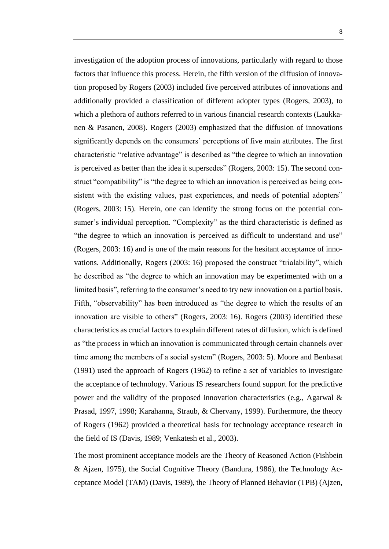investigation of the adoption process of innovations, particularly with regard to those factors that influence this process. Herein, the fifth version of the diffusion of innovation proposed by Rogers (2003) included five perceived attributes of innovations and additionally provided a classification of different adopter types (Rogers, 2003), to which a plethora of authors referred to in various financial research contexts (Laukkanen & Pasanen, 2008). Rogers (2003) emphasized that the diffusion of innovations significantly depends on the consumers' perceptions of five main attributes. The first characteristic "relative advantage" is described as "the degree to which an innovation is perceived as better than the idea it supersedes" (Rogers, 2003: 15). The second construct "compatibility" is "the degree to which an innovation is perceived as being consistent with the existing values, past experiences, and needs of potential adopters" (Rogers, 2003: 15). Herein, one can identify the strong focus on the potential consumer's individual perception. "Complexity" as the third characteristic is defined as "the degree to which an innovation is perceived as difficult to understand and use" (Rogers, 2003: 16) and is one of the main reasons for the hesitant acceptance of innovations. Additionally, Rogers (2003: 16) proposed the construct "trialability", which he described as "the degree to which an innovation may be experimented with on a limited basis", referring to the consumer's need to try new innovation on a partial basis. Fifth, "observability" has been introduced as "the degree to which the results of an innovation are visible to others" (Rogers, 2003: 16). Rogers (2003) identified these characteristics as crucial factors to explain different rates of diffusion, which is defined as "the process in which an innovation is communicated through certain channels over time among the members of a social system" (Rogers, 2003: 5). Moore and Benbasat (1991) used the approach of Rogers (1962) to refine a set of variables to investigate the acceptance of technology. Various IS researchers found support for the predictive power and the validity of the proposed innovation characteristics (e.g., Agarwal & Prasad, 1997, 1998; Karahanna, Straub, & Chervany, 1999). Furthermore, the theory of Rogers (1962) provided a theoretical basis for technology acceptance research in the field of IS (Davis, 1989; Venkatesh et al., 2003).

The most prominent acceptance models are the Theory of Reasoned Action (Fishbein & Ajzen, 1975), the Social Cognitive Theory (Bandura, 1986), the Technology Acceptance Model (TAM) (Davis, 1989), the Theory of Planned Behavior (TPB) (Ajzen,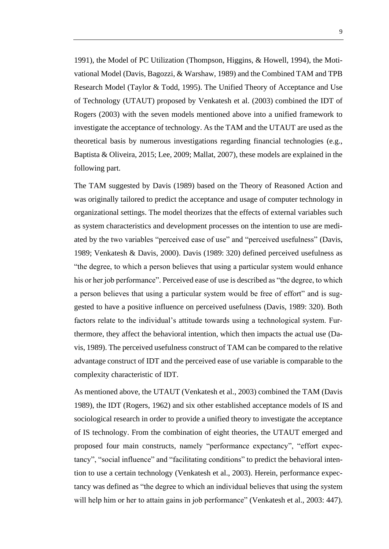1991), the Model of PC Utilization (Thompson, Higgins, & Howell, 1994), the Motivational Model (Davis, Bagozzi, & Warshaw, 1989) and the Combined TAM and TPB Research Model (Taylor & Todd, 1995). The Unified Theory of Acceptance and Use of Technology (UTAUT) proposed by Venkatesh et al. (2003) combined the IDT of Rogers (2003) with the seven models mentioned above into a unified framework to investigate the acceptance of technology. As the TAM and the UTAUT are used as the theoretical basis by numerous investigations regarding financial technologies (e.g., Baptista & Oliveira, 2015; Lee, 2009; Mallat, 2007), these models are explained in the following part.

The TAM suggested by Davis (1989) based on the Theory of Reasoned Action and was originally tailored to predict the acceptance and usage of computer technology in organizational settings. The model theorizes that the effects of external variables such as system characteristics and development processes on the intention to use are mediated by the two variables "perceived ease of use" and "perceived usefulness" (Davis, 1989; Venkatesh & Davis, 2000). Davis (1989: 320) defined perceived usefulness as "the degree, to which a person believes that using a particular system would enhance his or her job performance". Perceived ease of use is described as "the degree, to which a person believes that using a particular system would be free of effort" and is suggested to have a positive influence on perceived usefulness (Davis, 1989: 320). Both factors relate to the individual's attitude towards using a technological system. Furthermore, they affect the behavioral intention, which then impacts the actual use (Davis, 1989). The perceived usefulness construct of TAM can be compared to the relative advantage construct of IDT and the perceived ease of use variable is comparable to the complexity characteristic of IDT.

As mentioned above, the UTAUT (Venkatesh et al., 2003) combined the TAM (Davis 1989), the IDT (Rogers, 1962) and six other established acceptance models of IS and sociological research in order to provide a unified theory to investigate the acceptance of IS technology. From the combination of eight theories, the UTAUT emerged and proposed four main constructs, namely "performance expectancy", "effort expectancy", "social influence" and "facilitating conditions" to predict the behavioral intention to use a certain technology (Venkatesh et al., 2003). Herein, performance expectancy was defined as "the degree to which an individual believes that using the system will help him or her to attain gains in job performance" (Venkatesh et al., 2003: 447).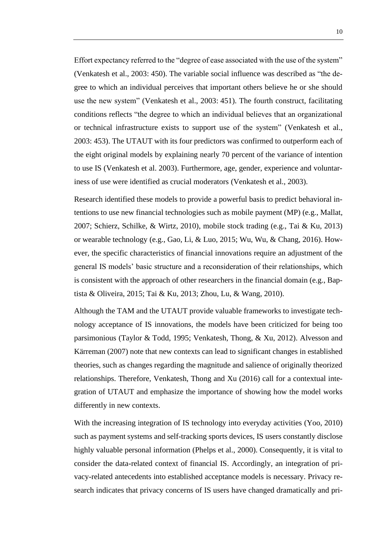Effort expectancy referred to the "degree of ease associated with the use of the system" (Venkatesh et al., 2003: 450). The variable social influence was described as "the degree to which an individual perceives that important others believe he or she should use the new system" (Venkatesh et al., 2003: 451). The fourth construct, facilitating conditions reflects "the degree to which an individual believes that an organizational or technical infrastructure exists to support use of the system" (Venkatesh et al., 2003: 453). The UTAUT with its four predictors was confirmed to outperform each of the eight original models by explaining nearly 70 percent of the variance of intention to use IS (Venkatesh et al. 2003). Furthermore, age, gender, experience and voluntariness of use were identified as crucial moderators (Venkatesh et al., 2003).

Research identified these models to provide a powerful basis to predict behavioral intentions to use new financial technologies such as mobile payment (MP) (e.g., Mallat, 2007; Schierz, Schilke, & Wirtz, 2010), mobile stock trading (e.g., Tai & Ku, 2013) or wearable technology (e.g., Gao, Li, & Luo, 2015; Wu, Wu, & Chang, 2016). However, the specific characteristics of financial innovations require an adjustment of the general IS models' basic structure and a reconsideration of their relationships, which is consistent with the approach of other researchers in the financial domain (e.g., Baptista & Oliveira, 2015; Tai & Ku, 2013; Zhou, Lu, & Wang, 2010).

Although the TAM and the UTAUT provide valuable frameworks to investigate technology acceptance of IS innovations, the models have been criticized for being too parsimonious (Taylor & Todd, 1995; Venkatesh, Thong, & Xu, 2012). Alvesson and Kärreman (2007) note that new contexts can lead to significant changes in established theories, such as changes regarding the magnitude and salience of originally theorized relationships. Therefore, Venkatesh, Thong and Xu (2016) call for a contextual integration of UTAUT and emphasize the importance of showing how the model works differently in new contexts.

With the increasing integration of IS technology into everyday activities (Yoo, 2010) such as payment systems and self-tracking sports devices, IS users constantly disclose highly valuable personal information (Phelps et al., 2000). Consequently, it is vital to consider the data-related context of financial IS. Accordingly, an integration of privacy-related antecedents into established acceptance models is necessary. Privacy research indicates that privacy concerns of IS users have changed dramatically and pri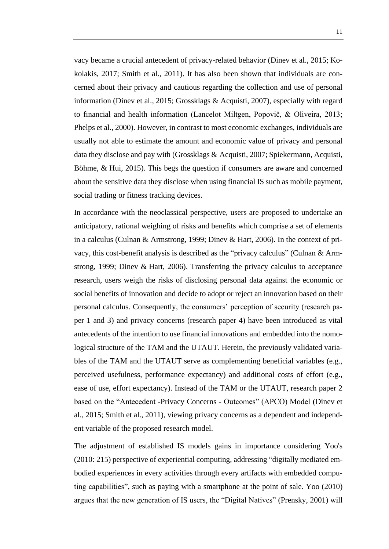vacy became a crucial antecedent of privacy-related behavior (Dinev et al., 2015; Kokolakis, 2017; Smith et al., 2011). It has also been shown that individuals are concerned about their privacy and cautious regarding the collection and use of personal information (Dinev et al., 2015; Grossklags & Acquisti, 2007), especially with regard to financial and health information (Lancelot Miltgen, Popovič, & Oliveira, 2013; Phelps et al., 2000). However, in contrast to most economic exchanges, individuals are usually not able to estimate the amount and economic value of privacy and personal data they disclose and pay with (Grossklags & Acquisti, 2007; Spiekermann, Acquisti, Böhme, & Hui, 2015). This begs the question if consumers are aware and concerned about the sensitive data they disclose when using financial IS such as mobile payment, social trading or fitness tracking devices.

In accordance with the neoclassical perspective, users are proposed to undertake an anticipatory, rational weighing of risks and benefits which comprise a set of elements in a calculus (Culnan & Armstrong, 1999; Dinev & Hart, 2006). In the context of privacy, this cost-benefit analysis is described as the "privacy calculus" (Culnan & Armstrong, 1999; Dinev & Hart, 2006). Transferring the privacy calculus to acceptance research, users weigh the risks of disclosing personal data against the economic or social benefits of innovation and decide to adopt or reject an innovation based on their personal calculus. Consequently, the consumers' perception of security (research paper 1 and 3) and privacy concerns (research paper 4) have been introduced as vital antecedents of the intention to use financial innovations and embedded into the nomological structure of the TAM and the UTAUT. Herein, the previously validated variables of the TAM and the UTAUT serve as complementing beneficial variables (e.g., perceived usefulness, performance expectancy) and additional costs of effort (e.g., ease of use, effort expectancy). Instead of the TAM or the UTAUT, research paper 2 based on the "Antecedent -Privacy Concerns - Outcomes" (APCO) Model (Dinev et al., 2015; Smith et al., 2011), viewing privacy concerns as a dependent and independent variable of the proposed research model.

The adjustment of established IS models gains in importance considering Yoo's (2010: 215) perspective of experiential computing, addressing "digitally mediated embodied experiences in every activities through every artifacts with embedded computing capabilities", such as paying with a smartphone at the point of sale. Yoo (2010) argues that the new generation of IS users, the "Digital Natives" (Prensky, 2001) will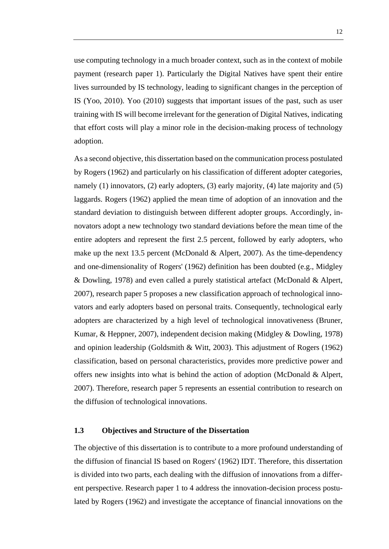use computing technology in a much broader context, such as in the context of mobile payment (research paper 1). Particularly the Digital Natives have spent their entire lives surrounded by IS technology, leading to significant changes in the perception of IS (Yoo, 2010). Yoo (2010) suggests that important issues of the past, such as user training with IS will become irrelevant for the generation of Digital Natives, indicating that effort costs will play a minor role in the decision-making process of technology adoption.

As a second objective, this dissertation based on the communication process postulated by Rogers (1962) and particularly on his classification of different adopter categories, namely (1) innovators, (2) early adopters, (3) early majority, (4) late majority and (5) laggards. Rogers (1962) applied the mean time of adoption of an innovation and the standard deviation to distinguish between different adopter groups. Accordingly, innovators adopt a new technology two standard deviations before the mean time of the entire adopters and represent the first 2.5 percent, followed by early adopters, who make up the next 13.5 percent (McDonald & Alpert, 2007). As the time-dependency and one-dimensionality of Rogers' (1962) definition has been doubted (e.g., Midgley & Dowling, 1978) and even called a purely statistical artefact (McDonald & Alpert, 2007), research paper 5 proposes a new classification approach of technological innovators and early adopters based on personal traits. Consequently, technological early adopters are characterized by a high level of technological innovativeness (Bruner, Kumar, & Heppner, 2007), independent decision making (Midgley & Dowling, 1978) and opinion leadership (Goldsmith & Witt, 2003). This adjustment of Rogers (1962) classification, based on personal characteristics, provides more predictive power and offers new insights into what is behind the action of adoption (McDonald & Alpert, 2007). Therefore, research paper 5 represents an essential contribution to research on the diffusion of technological innovations.

#### <span id="page-17-0"></span>**1.3 Objectives and Structure of the Dissertation**

The objective of this dissertation is to contribute to a more profound understanding of the diffusion of financial IS based on Rogers' (1962) IDT. Therefore, this dissertation is divided into two parts, each dealing with the diffusion of innovations from a different perspective. Research paper 1 to 4 address the innovation-decision process postulated by Rogers (1962) and investigate the acceptance of financial innovations on the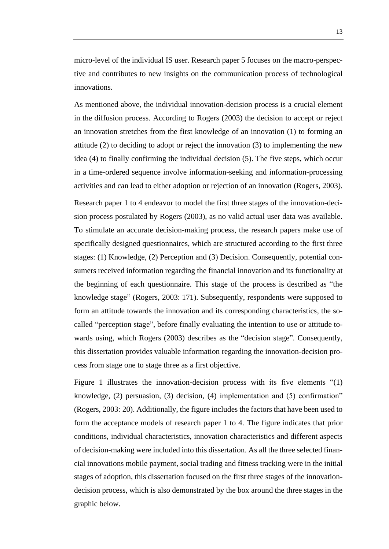micro-level of the individual IS user. Research paper 5 focuses on the macro-perspective and contributes to new insights on the communication process of technological innovations.

As mentioned above, the individual innovation-decision process is a crucial element in the diffusion process. According to Rogers (2003) the decision to accept or reject an innovation stretches from the first knowledge of an innovation (1) to forming an attitude (2) to deciding to adopt or reject the innovation (3) to implementing the new idea (4) to finally confirming the individual decision (5). The five steps, which occur in a time-ordered sequence involve information-seeking and information-processing activities and can lead to either adoption or rejection of an innovation (Rogers, 2003).

Research paper 1 to 4 endeavor to model the first three stages of the innovation-decision process postulated by Rogers (2003), as no valid actual user data was available. To stimulate an accurate decision-making process, the research papers make use of specifically designed questionnaires, which are structured according to the first three stages: (1) Knowledge, (2) Perception and (3) Decision. Consequently, potential consumers received information regarding the financial innovation and its functionality at the beginning of each questionnaire. This stage of the process is described as "the knowledge stage" (Rogers, 2003: 171). Subsequently, respondents were supposed to form an attitude towards the innovation and its corresponding characteristics, the socalled "perception stage", before finally evaluating the intention to use or attitude towards using, which Rogers (2003) describes as the "decision stage". Consequently, this dissertation provides valuable information regarding the innovation-decision process from stage one to stage three as a first objective.

Figure 1 illustrates the innovation-decision process with its five elements "(1) knowledge, (2) persuasion, (3) decision, (4) implementation and (5) confirmation" (Rogers, 2003: 20). Additionally, the figure includes the factors that have been used to form the acceptance models of research paper 1 to 4. The figure indicates that prior conditions, individual characteristics, innovation characteristics and different aspects of decision-making were included into this dissertation. As all the three selected financial innovations mobile payment, social trading and fitness tracking were in the initial stages of adoption, this dissertation focused on the first three stages of the innovationdecision process, which is also demonstrated by the box around the three stages in the graphic below.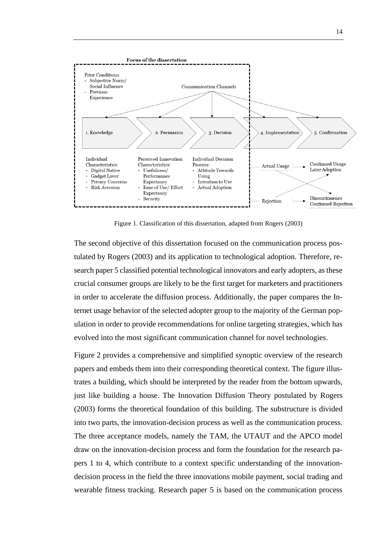

Figure 1. Classification of this dissertation, adapted from Rogers (2003)

The second objective of this dissertation focused on the communication process postulated by Rogers (2003) and its application to technological adoption. Therefore, research paper 5 classified potential technological innovators and early adopters, as these crucial consumer groups are likely to be the first target for marketers and practitioners in order to accelerate the diffusion process. Additionally, the paper compares the Internet usage behavior of the selected adopter group to the majority of the German population in order to provide recommendations for online targeting strategies, which has evolved into the most significant communication channel for novel technologies.

Figure 2 provides a comprehensive and simplified synoptic overview of the research papers and embeds them into their corresponding theoretical context. The figure illustrates a building, which should be interpreted by the reader from the bottom upwards, just like building a house. The Innovation Diffusion Theory postulated by Rogers (2003) forms the theoretical foundation of this building. The substructure is divided into two parts, the innovation-decision process as well as the communication process. The three acceptance models, namely the TAM, the UTAUT and the APCO model draw on the innovation-decision process and form the foundation for the research papers 1 to 4, which contribute to a context specific understanding of the innovationdecision process in the field the three innovations mobile payment, social trading and wearable fitness tracking. Research paper 5 is based on the communication process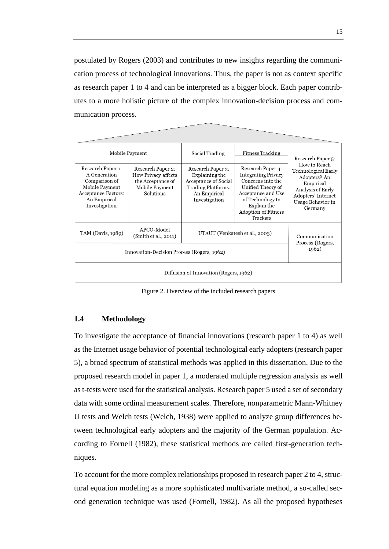postulated by Rogers (2003) and contributes to new insights regarding the communication process of technological innovations. Thus, the paper is not as context specific as research paper 1 to 4 and can be interpreted as a bigger block. Each paper contributes to a more holistic picture of the complex innovation-decision process and communication process.

|                                                                                                                                     | Mobile Payment                                                                                      |                                                                                                                           | <b>Fitness Tracking</b>                                                                                                                                                                      | Research Paper 5:                                                                                                                           |  |  |  |
|-------------------------------------------------------------------------------------------------------------------------------------|-----------------------------------------------------------------------------------------------------|---------------------------------------------------------------------------------------------------------------------------|----------------------------------------------------------------------------------------------------------------------------------------------------------------------------------------------|---------------------------------------------------------------------------------------------------------------------------------------------|--|--|--|
| Research Paper 1:<br>A Generation<br>Comparison of<br>Mobile Payment<br><b>Acceptance Factors:</b><br>An Empirical<br>Investigation | Research Paper 2:<br><b>How Privacy affects</b><br>the Acceptance of<br>Mobile Payment<br>Solutions | Research Paper 3:<br>Explaining the<br>Acceptance of Social<br><b>Trading Platforms:</b><br>An Empirical<br>Investigation | Research Paper 4:<br><b>Integrating Privacy</b><br>Concerns into the<br>Unified Theory of<br>Acceptance and Use<br>of Technology to<br>Explain the<br><b>Adoption of Fitness</b><br>Trackers | How to Reach<br>Technological Early<br>Adopters? An<br>Empirical<br>Analysis of Early<br>Adopters' Internet<br>Usage Behavior in<br>Germany |  |  |  |
| TAM (Davis, 1989)                                                                                                                   | APCO-Model<br>(Smith et al., 2011)                                                                  | UTAUT (Venkatesh et al., 2003)                                                                                            | Communication<br>Process (Rogers,                                                                                                                                                            |                                                                                                                                             |  |  |  |
| Innovation-Decision Process (Rogers, 1962)                                                                                          | 1962)                                                                                               |                                                                                                                           |                                                                                                                                                                                              |                                                                                                                                             |  |  |  |
| Diffusion of Innovation (Rogers, 1962)                                                                                              |                                                                                                     |                                                                                                                           |                                                                                                                                                                                              |                                                                                                                                             |  |  |  |

Figure 2. Overview of the included research papers

#### <span id="page-20-0"></span>**1.4 Methodology**

To investigate the acceptance of financial innovations (research paper 1 to 4) as well as the Internet usage behavior of potential technological early adopters (research paper 5), a broad spectrum of statistical methods was applied in this dissertation. Due to the proposed research model in paper 1, a moderated multiple regression analysis as well as t-tests were used for the statistical analysis. Research paper 5 used a set of secondary data with some ordinal measurement scales. Therefore, nonparametric Mann-Whitney U tests and Welch tests (Welch, 1938) were applied to analyze group differences between technological early adopters and the majority of the German population. According to Fornell (1982), these statistical methods are called first-generation techniques.

To account for the more complex relationships proposed in research paper 2 to 4, structural equation modeling as a more sophisticated multivariate method, a so-called second generation technique was used (Fornell, 1982). As all the proposed hypotheses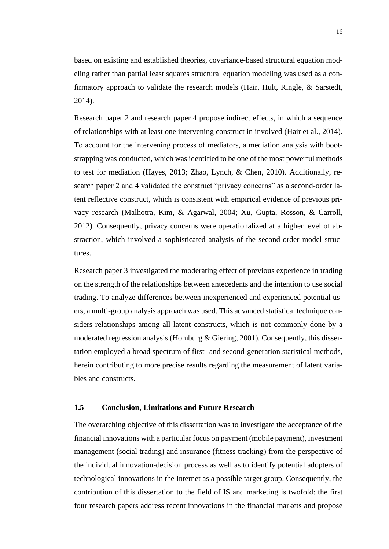based on existing and established theories, covariance-based structural equation modeling rather than partial least squares structural equation modeling was used as a confirmatory approach to validate the research models (Hair, Hult, Ringle, & Sarstedt, 2014).

Research paper 2 and research paper 4 propose indirect effects, in which a sequence of relationships with at least one intervening construct in involved (Hair et al., 2014). To account for the intervening process of mediators, a mediation analysis with bootstrapping was conducted, which was identified to be one of the most powerful methods to test for mediation (Hayes, 2013; Zhao, Lynch, & Chen, 2010). Additionally, research paper 2 and 4 validated the construct "privacy concerns" as a second-order latent reflective construct, which is consistent with empirical evidence of previous privacy research (Malhotra, Kim, & Agarwal, 2004; Xu, Gupta, Rosson, & Carroll, 2012). Consequently, privacy concerns were operationalized at a higher level of abstraction, which involved a sophisticated analysis of the second-order model structures.

Research paper 3 investigated the moderating effect of previous experience in trading on the strength of the relationships between antecedents and the intention to use social trading. To analyze differences between inexperienced and experienced potential users, a multi-group analysis approach was used. This advanced statistical technique considers relationships among all latent constructs, which is not commonly done by a moderated regression analysis (Homburg & Giering, 2001). Consequently, this dissertation employed a broad spectrum of first- and second-generation statistical methods, herein contributing to more precise results regarding the measurement of latent variables and constructs.

#### <span id="page-21-0"></span>**1.5 Conclusion, Limitations and Future Research**

The overarching objective of this dissertation was to investigate the acceptance of the financial innovations with a particular focus on payment (mobile payment), investment management (social trading) and insurance (fitness tracking) from the perspective of the individual innovation-decision process as well as to identify potential adopters of technological innovations in the Internet as a possible target group. Consequently, the contribution of this dissertation to the field of IS and marketing is twofold: the first four research papers address recent innovations in the financial markets and propose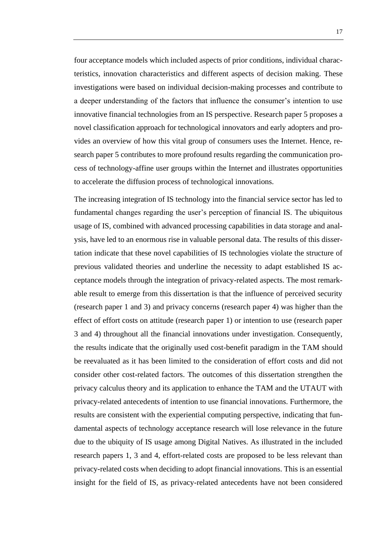four acceptance models which included aspects of prior conditions, individual characteristics, innovation characteristics and different aspects of decision making. These investigations were based on individual decision-making processes and contribute to a deeper understanding of the factors that influence the consumer's intention to use innovative financial technologies from an IS perspective. Research paper 5 proposes a novel classification approach for technological innovators and early adopters and provides an overview of how this vital group of consumers uses the Internet. Hence, research paper 5 contributes to more profound results regarding the communication process of technology-affine user groups within the Internet and illustrates opportunities to accelerate the diffusion process of technological innovations.

The increasing integration of IS technology into the financial service sector has led to fundamental changes regarding the user's perception of financial IS. The ubiquitous usage of IS, combined with advanced processing capabilities in data storage and analysis, have led to an enormous rise in valuable personal data. The results of this dissertation indicate that these novel capabilities of IS technologies violate the structure of previous validated theories and underline the necessity to adapt established IS acceptance models through the integration of privacy-related aspects. The most remarkable result to emerge from this dissertation is that the influence of perceived security (research paper 1 and 3) and privacy concerns (research paper 4) was higher than the effect of effort costs on attitude (research paper 1) or intention to use (research paper 3 and 4) throughout all the financial innovations under investigation. Consequently, the results indicate that the originally used cost-benefit paradigm in the TAM should be reevaluated as it has been limited to the consideration of effort costs and did not consider other cost-related factors. The outcomes of this dissertation strengthen the privacy calculus theory and its application to enhance the TAM and the UTAUT with privacy-related antecedents of intention to use financial innovations. Furthermore, the results are consistent with the experiential computing perspective, indicating that fundamental aspects of technology acceptance research will lose relevance in the future due to the ubiquity of IS usage among Digital Natives. As illustrated in the included research papers 1, 3 and 4, effort-related costs are proposed to be less relevant than privacy-related costs when deciding to adopt financial innovations. This is an essential insight for the field of IS, as privacy-related antecedents have not been considered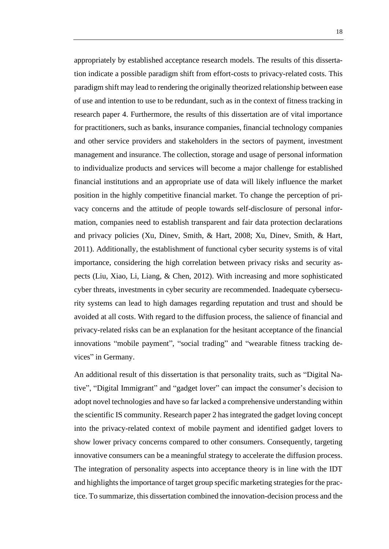appropriately by established acceptance research models. The results of this dissertation indicate a possible paradigm shift from effort-costs to privacy-related costs. This paradigm shift may lead to rendering the originally theorized relationship between ease of use and intention to use to be redundant, such as in the context of fitness tracking in research paper 4. Furthermore, the results of this dissertation are of vital importance for practitioners, such as banks, insurance companies, financial technology companies and other service providers and stakeholders in the sectors of payment, investment management and insurance. The collection, storage and usage of personal information to individualize products and services will become a major challenge for established financial institutions and an appropriate use of data will likely influence the market position in the highly competitive financial market. To change the perception of privacy concerns and the attitude of people towards self-disclosure of personal information, companies need to establish transparent and fair data protection declarations and privacy policies (Xu, Dinev, Smith, & Hart, 2008; Xu, Dinev, Smith, & Hart, 2011). Additionally, the establishment of functional cyber security systems is of vital importance, considering the high correlation between privacy risks and security aspects (Liu, Xiao, Li, Liang, & Chen, 2012). With increasing and more sophisticated cyber threats, investments in cyber security are recommended. Inadequate cybersecurity systems can lead to high damages regarding reputation and trust and should be avoided at all costs. With regard to the diffusion process, the salience of financial and privacy-related risks can be an explanation for the hesitant acceptance of the financial innovations "mobile payment", "social trading" and "wearable fitness tracking devices" in Germany.

An additional result of this dissertation is that personality traits, such as "Digital Native", "Digital Immigrant" and "gadget lover" can impact the consumer's decision to adopt novel technologies and have so far lacked a comprehensive understanding within the scientific IS community. Research paper 2 has integrated the gadget loving concept into the privacy-related context of mobile payment and identified gadget lovers to show lower privacy concerns compared to other consumers. Consequently, targeting innovative consumers can be a meaningful strategy to accelerate the diffusion process. The integration of personality aspects into acceptance theory is in line with the IDT and highlights the importance of target group specific marketing strategies for the practice. To summarize, this dissertation combined the innovation-decision process and the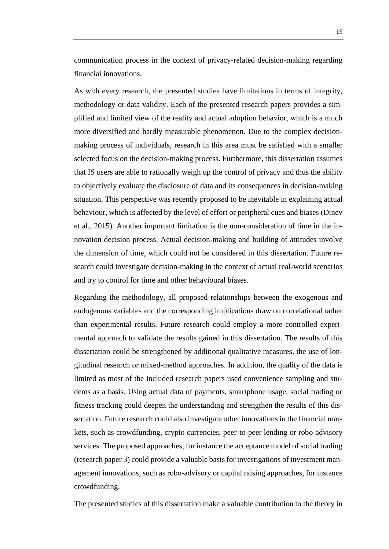communication process in the context of privacy-related decision-making regarding financial innovations.

As with every research, the presented studies have limitations in terms of integrity, methodology or data validity. Each of the presented research papers provides a simplified and limited view of the reality and actual adoption behavior, which is a much more diversified and hardly measurable phenomenon. Due to the complex decisionmaking process of individuals, research in this area must be satisfied with a smaller selected focus on the decision-making process. Furthermore, this dissertation assumes that IS users are able to rationally weigh up the control of privacy and thus the ability to objectively evaluate the disclosure of data and its consequences in decision-making situation. This perspective was recently proposed to be inevitable in explaining actual behaviour, which is affected by the level of effort or peripheral cues and biases (Dinev et al., 2015). Another important limitation is the non-consideration of time in the innovation decision process. Actual decision-making and building of attitudes involve the dimension of time, which could not be considered in this dissertation. Future research could investigate decision-making in the context of actual real-world scenarios and try to control for time and other behavioural biases.

Regarding the methodology, all proposed relationships between the exogenous and endogenous variables and the corresponding implications draw on correlational rather than experimental results. Future research could employ a more controlled experimental approach to validate the results gained in this dissertation. The results of this dissertation could be strengthened by additional qualitative measures, the use of longitudinal research or mixed-method approaches. In addition, the quality of the data is limited as most of the included research papers used convenience sampling and students as a basis. Using actual data of payments, smartphone usage, social trading or fitness tracking could deepen the understanding and strengthen the results of this dissertation. Future research could also investigate other innovations in the financial markets, such as crowdfunding, crypto currencies, peer-to-peer lending or robo-advisory services. The proposed approaches, for instance the acceptance model of social trading (research paper 3) could provide a valuable basis for investigations of investment management innovations, such as robo-advisory or capital raising approaches, for instance crowdfunding.

The presented studies of this dissertation make a valuable contribution to the theory in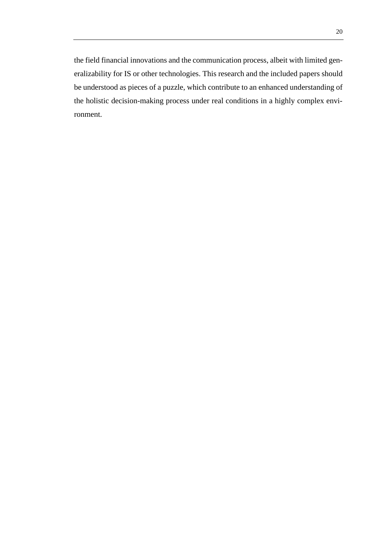the field financial innovations and the communication process, albeit with limited generalizability for IS or other technologies. This research and the included papers should be understood as pieces of a puzzle, which contribute to an enhanced understanding of the holistic decision-making process under real conditions in a highly complex environment.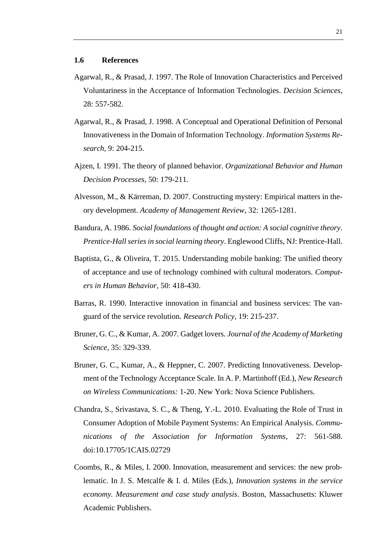- <span id="page-26-0"></span>Agarwal, R., & Prasad, J. 1997. The Role of Innovation Characteristics and Perceived Voluntariness in the Acceptance of Information Technologies. *Decision Sciences*, 28: 557-582.
- Agarwal, R., & Prasad, J. 1998. A Conceptual and Operational Definition of Personal Innovativeness in the Domain of Information Technology. *Information Systems Research*, 9: 204-215.
- Ajzen, I. 1991. The theory of planned behavior. *Organizational Behavior and Human Decision Processes*, 50: 179-211.
- Alvesson, M., & Kärreman, D. 2007. Constructing mystery: Empirical matters in theory development. *Academy of Management Review*, 32: 1265-1281.
- Bandura, A. 1986. *Social foundations of thought and action: A social cognitive theory*. *Prentice-Hall series in social learning theory*. Englewood Cliffs, NJ: Prentice-Hall.
- Baptista, G., & Oliveira, T. 2015. Understanding mobile banking: The unified theory of acceptance and use of technology combined with cultural moderators. *Computers in Human Behavior*, 50: 418-430.
- Barras, R. 1990. Interactive innovation in financial and business services: The vanguard of the service revolution. *Research Policy*, 19: 215-237.
- Bruner, G. C., & Kumar, A. 2007. Gadget lovers. *Journal of the Academy of Marketing Science*, 35: 329-339.
- Bruner, G. C., Kumar, A., & Heppner, C. 2007. Predicting Innovativeness. Development of the Technology Acceptance Scale. In A. P. Martinhoff (Ed.), *New Research on Wireless Communications:* 1-20. New York: Nova Science Publishers.
- Chandra, S., Srivastava, S. C., & Theng, Y.-L. 2010. Evaluating the Role of Trust in Consumer Adoption of Mobile Payment Systems: An Empirical Analysis. *Communications of the Association for Information Systems*, 27: 561-588. doi:10.17705/1CAIS.02729
- Coombs, R., & Miles, I. 2000. Innovation, measurement and services: the new problematic. In J. S. Metcalfe & I. d. Miles (Eds.), *Innovation systems in the service economy. Measurement and case study analysis*. Boston, Massachusetts: Kluwer Academic Publishers.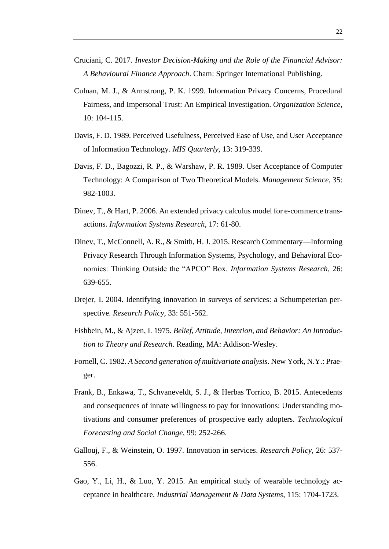- Cruciani, C. 2017. *Investor Decision-Making and the Role of the Financial Advisor: A Behavioural Finance Approach*. Cham: Springer International Publishing.
- Culnan, M. J., & Armstrong, P. K. 1999. Information Privacy Concerns, Procedural Fairness, and Impersonal Trust: An Empirical Investigation. *Organization Science*, 10: 104-115.
- Davis, F. D. 1989. Perceived Usefulness, Perceived Ease of Use, and User Acceptance of Information Technology. *MIS Quarterly*, 13: 319-339.
- Davis, F. D., Bagozzi, R. P., & Warshaw, P. R. 1989. User Acceptance of Computer Technology: A Comparison of Two Theoretical Models. *Management Science*, 35: 982-1003.
- Dinev, T., & Hart, P. 2006. An extended privacy calculus model for e-commerce transactions. *Information Systems Research*, 17: 61-80.
- Dinev, T., McConnell, A. R., & Smith, H. J. 2015. Research Commentary—Informing Privacy Research Through Information Systems, Psychology, and Behavioral Economics: Thinking Outside the "APCO" Box. *Information Systems Research*, 26: 639-655.
- Drejer, I. 2004. Identifying innovation in surveys of services: a Schumpeterian perspective. *Research Policy*, 33: 551-562.
- Fishbein, M., & Ajzen, I. 1975. *Belief, Attitude, Intention, and Behavior: An Introduction to Theory and Research*. Reading, MA: Addison-Wesley.
- Fornell, C. 1982. *A Second generation of multivariate analysis*. New York, N.Y.: Praeger.
- Frank, B., Enkawa, T., Schvaneveldt, S. J., & Herbas Torrico, B. 2015. Antecedents and consequences of innate willingness to pay for innovations: Understanding motivations and consumer preferences of prospective early adopters. *Technological Forecasting and Social Change*, 99: 252-266.
- Gallouj, F., & Weinstein, O. 1997. Innovation in services. *Research Policy*, 26: 537- 556.
- Gao, Y., Li, H., & Luo, Y. 2015. An empirical study of wearable technology acceptance in healthcare. *Industrial Management & Data Systems*, 115: 1704-1723.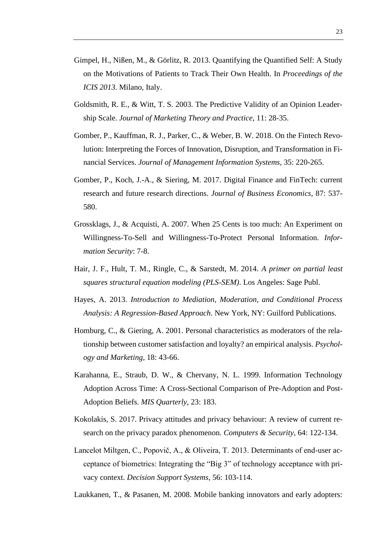- Gimpel, H., Nißen, M., & Görlitz, R. 2013. Quantifying the Quantified Self: A Study on the Motivations of Patients to Track Their Own Health. In *Proceedings of the ICIS 2013.* Milano, Italy.
- Goldsmith, R. E., & Witt, T. S. 2003. The Predictive Validity of an Opinion Leadership Scale. *Journal of Marketing Theory and Practice*, 11: 28-35.
- Gomber, P., Kauffman, R. J., Parker, C., & Weber, B. W. 2018. On the Fintech Revolution: Interpreting the Forces of Innovation, Disruption, and Transformation in Financial Services. *Journal of Management Information Systems*, 35: 220-265.
- Gomber, P., Koch, J.-A., & Siering, M. 2017. Digital Finance and FinTech: current research and future research directions. *Journal of Business Economics*, 87: 537- 580.
- Grossklags, J., & Acquisti, A. 2007. When 25 Cents is too much: An Experiment on Willingness-To-Sell and Willingness-To-Protect Personal Information. *Information Security*: 7-8.
- Hair, J. F., Hult, T. M., Ringle, C., & Sarstedt, M. 2014. *A primer on partial least squares structural equation modeling (PLS-SEM)*. Los Angeles: Sage Publ.
- Hayes, A. 2013. *Introduction to Mediation, Moderation, and Conditional Process Analysis: A Regression-Based Approach*. New York, NY: Guilford Publications.
- Homburg, C., & Giering, A. 2001. Personal characteristics as moderators of the relationship between customer satisfaction and loyalty? an empirical analysis. *Psychology and Marketing*, 18: 43-66.
- Karahanna, E., Straub, D. W., & Chervany, N. L. 1999. Information Technology Adoption Across Time: A Cross-Sectional Comparison of Pre-Adoption and Post-Adoption Beliefs. *MIS Quarterly*, 23: 183.
- Kokolakis, S. 2017. Privacy attitudes and privacy behaviour: A review of current research on the privacy paradox phenomenon. *Computers & Security*, 64: 122-134.
- Lancelot Miltgen, C., Popovič, A., & Oliveira, T. 2013. Determinants of end-user acceptance of biometrics: Integrating the "Big 3" of technology acceptance with privacy context. *Decision Support Systems*, 56: 103-114.
- Laukkanen, T., & Pasanen, M. 2008. Mobile banking innovators and early adopters: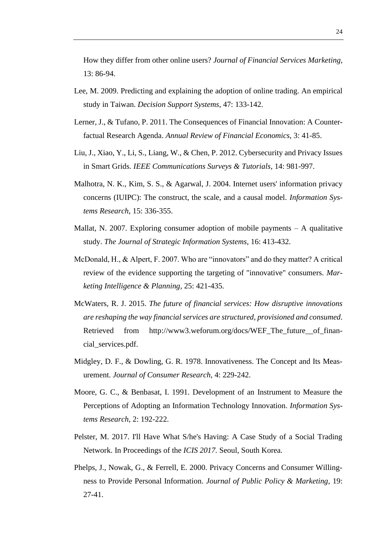How they differ from other online users? *Journal of Financial Services Marketing*, 13: 86-94.

- Lee, M. 2009. Predicting and explaining the adoption of online trading. An empirical study in Taiwan. *Decision Support Systems*, 47: 133-142.
- Lerner, J., & Tufano, P. 2011. The Consequences of Financial Innovation: A Counterfactual Research Agenda. *Annual Review of Financial Economics*, 3: 41-85.
- Liu, J., Xiao, Y., Li, S., Liang, W., & Chen, P. 2012. Cybersecurity and Privacy Issues in Smart Grids. *IEEE Communications Surveys & Tutorials*, 14: 981-997.
- Malhotra, N. K., Kim, S. S., & Agarwal, J. 2004. Internet users' information privacy concerns (IUIPC): The construct, the scale, and a causal model. *Information Systems Research*, 15: 336-355.
- Mallat, N. 2007. Exploring consumer adoption of mobile payments  $-$  A qualitative study. *The Journal of Strategic Information Systems*, 16: 413-432.
- McDonald, H., & Alpert, F. 2007. Who are "innovators" and do they matter? A critical review of the evidence supporting the targeting of "innovative" consumers. *Marketing Intelligence & Planning*, 25: 421-435.
- McWaters, R. J. 2015. *The future of financial services: How disruptive innovations are reshaping the way financial services are structured, provisioned and consumed*. Retrieved from http://www3.weforum.org/docs/WEF\_The\_future\_of\_financial\_services.pdf.
- Midgley, D. F., & Dowling, G. R. 1978. Innovativeness. The Concept and Its Measurement. *Journal of Consumer Research*, 4: 229-242.
- Moore, G. C., & Benbasat, I. 1991. Development of an Instrument to Measure the Perceptions of Adopting an Information Technology Innovation. *Information Systems Research*, 2: 192-222.
- Pelster, M. 2017. I'll Have What S/he's Having: A Case Study of a Social Trading Network. In Proceedings of the *ICIS 2017.* Seoul, South Korea.
- Phelps, J., Nowak, G., & Ferrell, E. 2000. Privacy Concerns and Consumer Willingness to Provide Personal Information. *Journal of Public Policy & Marketing*, 19: 27-41.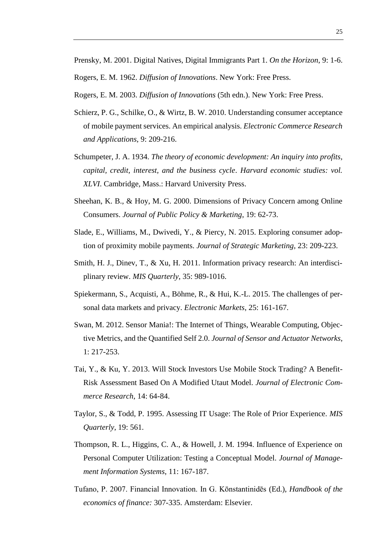Prensky, M. 2001. Digital Natives, Digital Immigrants Part 1. *On the Horizon*, 9: 1-6.

Rogers, E. M. 1962. *Diffusion of Innovations*. New York: Free Press.

Rogers, E. M. 2003. *Diffusion of Innovations* (5th edn.). New York: Free Press.

- Schierz, P. G., Schilke, O., & Wirtz, B. W. 2010. Understanding consumer acceptance of mobile payment services. An empirical analysis. *Electronic Commerce Research and Applications*, 9: 209-216.
- Schumpeter, J. A. 1934. *The theory of economic development: An inquiry into profits, capital, credit, interest, and the business cycle*. *Harvard economic studies: vol. XLVI*. Cambridge, Mass.: Harvard University Press.
- Sheehan, K. B., & Hoy, M. G. 2000. Dimensions of Privacy Concern among Online Consumers. *Journal of Public Policy & Marketing*, 19: 62-73.
- Slade, E., Williams, M., Dwivedi, Y., & Piercy, N. 2015. Exploring consumer adoption of proximity mobile payments. *Journal of Strategic Marketing*, 23: 209-223.
- Smith, H. J., Dinev, T., & Xu, H. 2011. Information privacy research: An interdisciplinary review. *MIS Quarterly*, 35: 989-1016.
- Spiekermann, S., Acquisti, A., Böhme, R., & Hui, K.-L. 2015. The challenges of personal data markets and privacy. *Electronic Markets*, 25: 161-167.
- Swan, M. 2012. Sensor Mania!: The Internet of Things, Wearable Computing, Objective Metrics, and the Quantified Self 2.0. *Journal of Sensor and Actuator Networks*, 1: 217-253.
- Tai, Y., & Ku, Y. 2013. Will Stock Investors Use Mobile Stock Trading? A Benefit-Risk Assessment Based On A Modified Utaut Model. *Journal of Electronic Commerce Research*, 14: 64-84.
- Taylor, S., & Todd, P. 1995. Assessing IT Usage: The Role of Prior Experience. *MIS Quarterly*, 19: 561.
- Thompson, R. L., Higgins, C. A., & Howell, J. M. 1994. Influence of Experience on Personal Computer Utilization: Testing a Conceptual Model. *Journal of Management Information Systems*, 11: 167-187.
- Tufano, P. 2007. Financial Innovation. In G. Kōnstantinidēs (Ed.), *Handbook of the economics of finance:* 307-335. Amsterdam: Elsevier.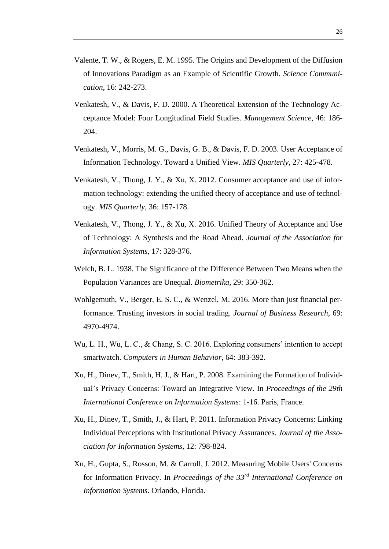- Valente, T. W., & Rogers, E. M. 1995. The Origins and Development of the Diffusion of Innovations Paradigm as an Example of Scientific Growth. *Science Communication*, 16: 242-273.
- Venkatesh, V., & Davis, F. D. 2000. A Theoretical Extension of the Technology Acceptance Model: Four Longitudinal Field Studies. *Management Science*, 46: 186- 204.
- Venkatesh, V., Morris, M. G., Davis, G. B., & Davis, F. D. 2003. User Acceptance of Information Technology. Toward a Unified View. *MIS Quarterly*, 27: 425-478.
- Venkatesh, V., Thong, J. Y., & Xu, X. 2012. Consumer acceptance and use of information technology: extending the unified theory of acceptance and use of technology. *MIS Quarterly*, 36: 157-178.
- Venkatesh, V., Thong, J. Y., & Xu, X. 2016. Unified Theory of Acceptance and Use of Technology: A Synthesis and the Road Ahead. *Journal of the Association for Information Systems*, 17: 328-376.
- Welch, B. L. 1938. The Significance of the Difference Between Two Means when the Population Variances are Unequal. *Biometrika*, 29: 350-362.
- Wohlgemuth, V., Berger, E. S. C., & Wenzel, M. 2016. More than just financial performance. Trusting investors in social trading. *Journal of Business Research*, 69: 4970-4974.
- Wu, L. H., Wu, L. C., & Chang, S. C. 2016. Exploring consumers' intention to accept smartwatch. *Computers in Human Behavior*, 64: 383-392.
- Xu, H., Dinev, T., Smith, H. J., & Hart, P. 2008. Examining the Formation of Individual's Privacy Concerns: Toward an Integrative View. In *Proceedings of the 29th International Conference on Information Systems*: 1-16. Paris, France.
- Xu, H., Dinev, T., Smith, J., & Hart, P. 2011. Information Privacy Concerns: Linking Individual Perceptions with Institutional Privacy Assurances. *Journal of the Association for Information Systems*, 12: 798-824.
- Xu, H., Gupta, S., Rosson, M. & Carroll, J. 2012. Measuring Mobile Users' Concerns for Information Privacy. In *Proceedings of the 33rd International Conference on Information Systems*. Orlando, Florida.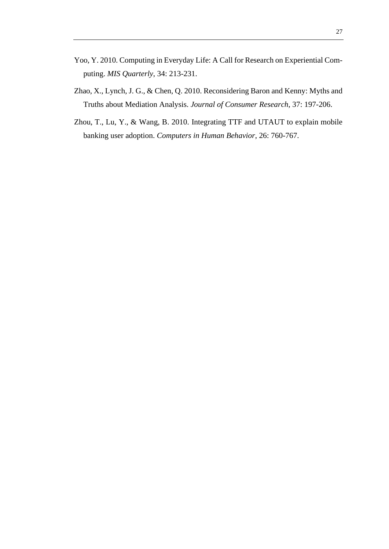- Yoo, Y. 2010. Computing in Everyday Life: A Call for Research on Experiential Computing. *MIS Quarterly*, 34: 213-231.
- Zhao, X., Lynch, J. G., & Chen, Q. 2010. Reconsidering Baron and Kenny: Myths and Truths about Mediation Analysis. *Journal of Consumer Research*, 37: 197-206.
- Zhou, T., Lu, Y., & Wang, B. 2010. Integrating TTF and UTAUT to explain mobile banking user adoption. *Computers in Human Behavior*, 26: 760-767.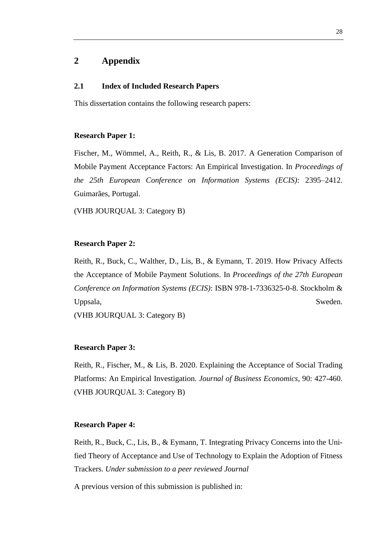# <span id="page-33-0"></span>**2 Appendix**

#### <span id="page-33-1"></span>**2.1 Index of Included Research Papers**

This dissertation contains the following research papers:

#### **Research Paper 1:**

Fischer, M., Wömmel, A., Reith, R., & Lis, B. 2017. A Generation Comparison of Mobile Payment Acceptance Factors: An Empirical Investigation. In *Proceedings of the 25th European Conference on Information Systems (ECIS)*: 2395–2412. Guimarães, Portugal.

(VHB JOURQUAL 3: Category B)

#### **Research Paper 2:**

Reith, R., Buck, C., Walther, D., Lis, B., & Eymann, T. 2019. How Privacy Affects the Acceptance of Mobile Payment Solutions. In *Proceedings of the 27th European Conference on Information Systems (ECIS)*: ISBN 978-1-7336325-0-8. Stockholm & Uppsala, Sweden.

(VHB JOURQUAL 3: Category B)

#### **Research Paper 3:**

Reith, R., Fischer, M., & Lis, B. 2020. Explaining the Acceptance of Social Trading Platforms: An Empirical Investigation. *Journal of Business Economics*, 90: 427-460. (VHB JOURQUAL 3: Category B)

#### **Research Paper 4:**

Reith, R., Buck, C., Lis, B., & Eymann, T. Integrating Privacy Concerns into the Unified Theory of Acceptance and Use of Technology to Explain the Adoption of Fitness Trackers. *Under submission to a peer reviewed Journal*

A previous version of this submission is published in: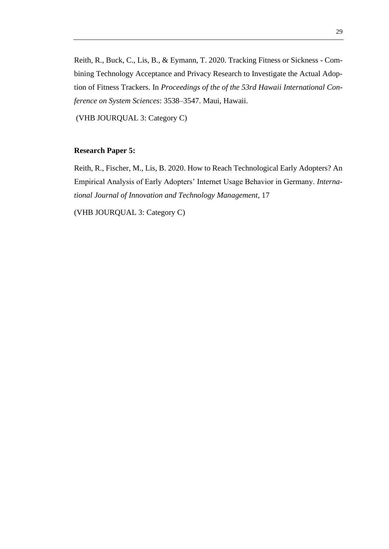Reith, R., Buck, C., Lis, B., & Eymann, T. 2020. Tracking Fitness or Sickness - Combining Technology Acceptance and Privacy Research to Investigate the Actual Adoption of Fitness Trackers. In *Proceedings of the of the 53rd Hawaii International Conference on System Sciences*: 3538–3547. Maui, Hawaii.

(VHB JOURQUAL 3: Category C)

#### **Research Paper 5:**

Reith, R., Fischer, M., Lis, B. 2020. How to Reach Technological Early Adopters? An Empirical Analysis of Early Adopters' Internet Usage Behavior in Germany. *International Journal of Innovation and Technology Management*, 17

(VHB JOURQUAL 3: Category C)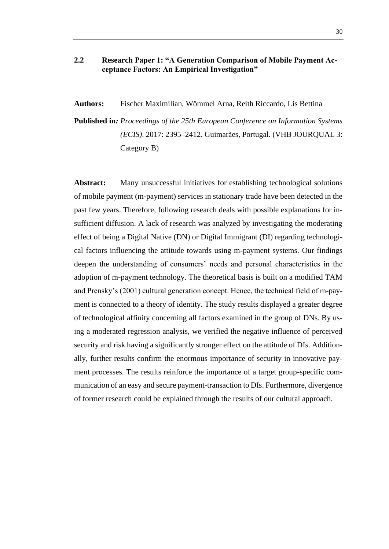# <span id="page-35-0"></span>**2.2 Research Paper 1: "A Generation Comparison of Mobile Payment Acceptance Factors: An Empirical Investigation"**

**Authors:** Fischer Maximilian, Wömmel Arna, Reith Riccardo, Lis Bettina

**Published in***: Proceedings of the 25th European Conference on Information Systems (ECIS)*. 2017: 2395–2412. Guimarães, Portugal. (VHB JOURQUAL 3: Category B)

**Abstract:** Many unsuccessful initiatives for establishing technological solutions of mobile payment (m-payment) services in stationary trade have been detected in the past few years. Therefore, following research deals with possible explanations for insufficient diffusion. A lack of research was analyzed by investigating the moderating effect of being a Digital Native (DN) or Digital Immigrant (DI) regarding technological factors influencing the attitude towards using m-payment systems. Our findings deepen the understanding of consumers' needs and personal characteristics in the adoption of m-payment technology. The theoretical basis is built on a modified TAM and Prensky's (2001) cultural generation concept. Hence, the technical field of m-payment is connected to a theory of identity. The study results displayed a greater degree of technological affinity concerning all factors examined in the group of DNs. By using a moderated regression analysis, we verified the negative influence of perceived security and risk having a significantly stronger effect on the attitude of DIs. Additionally, further results confirm the enormous importance of security in innovative payment processes. The results reinforce the importance of a target group-specific communication of an easy and secure payment-transaction to DIs. Furthermore, divergence of former research could be explained through the results of our cultural approach.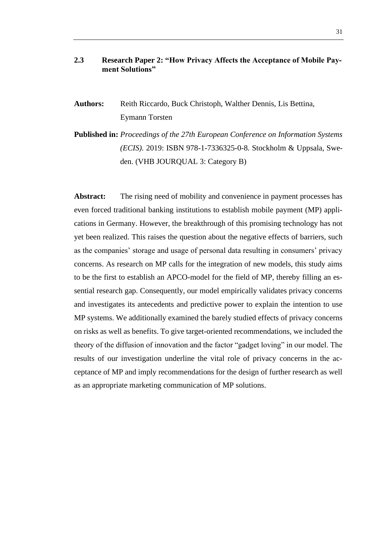# <span id="page-36-0"></span>**2.3 Research Paper 2: "How Privacy Affects the Acceptance of Mobile Payment Solutions"**

- **Authors:** Reith Riccardo, Buck Christoph, Walther Dennis, Lis Bettina, Eymann Torsten
- **Published in:** *Proceedings of the 27th European Conference on Information Systems (ECIS).* 2019: ISBN 978-1-7336325-0-8. Stockholm & Uppsala, Sweden. (VHB JOURQUAL 3: Category B)

Abstract: The rising need of mobility and convenience in payment processes has even forced traditional banking institutions to establish mobile payment (MP) applications in Germany. However, the breakthrough of this promising technology has not yet been realized. This raises the question about the negative effects of barriers, such as the companies' storage and usage of personal data resulting in consumers' privacy concerns. As research on MP calls for the integration of new models, this study aims to be the first to establish an APCO-model for the field of MP, thereby filling an essential research gap. Consequently, our model empirically validates privacy concerns and investigates its antecedents and predictive power to explain the intention to use MP systems. We additionally examined the barely studied effects of privacy concerns on risks as well as benefits. To give target-oriented recommendations, we included the theory of the diffusion of innovation and the factor "gadget loving" in our model. The results of our investigation underline the vital role of privacy concerns in the acceptance of MP and imply recommendations for the design of further research as well as an appropriate marketing communication of MP solutions.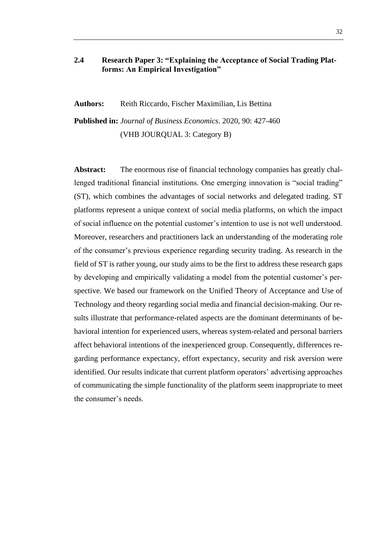# <span id="page-37-0"></span>**2.4 Research Paper 3: "Explaining the Acceptance of Social Trading Platforms: An Empirical Investigation"**

**Authors:** Reith Riccardo, Fischer Maximilian, Lis Bettina

**Published in:** *Journal of Business Economics*. 2020, 90: 427-460 (VHB JOURQUAL 3: Category B)

Abstract: The enormous rise of financial technology companies has greatly challenged traditional financial institutions. One emerging innovation is "social trading" (ST), which combines the advantages of social networks and delegated trading. ST platforms represent a unique context of social media platforms, on which the impact of social influence on the potential customer's intention to use is not well understood. Moreover, researchers and practitioners lack an understanding of the moderating role of the consumer's previous experience regarding security trading. As research in the field of ST is rather young, our study aims to be the first to address these research gaps by developing and empirically validating a model from the potential customer's perspective. We based our framework on the Unified Theory of Acceptance and Use of Technology and theory regarding social media and financial decision-making. Our results illustrate that performance-related aspects are the dominant determinants of behavioral intention for experienced users, whereas system-related and personal barriers affect behavioral intentions of the inexperienced group. Consequently, differences regarding performance expectancy, effort expectancy, security and risk aversion were identified. Our results indicate that current platform operators' advertising approaches of communicating the simple functionality of the platform seem inappropriate to meet the consumer's needs.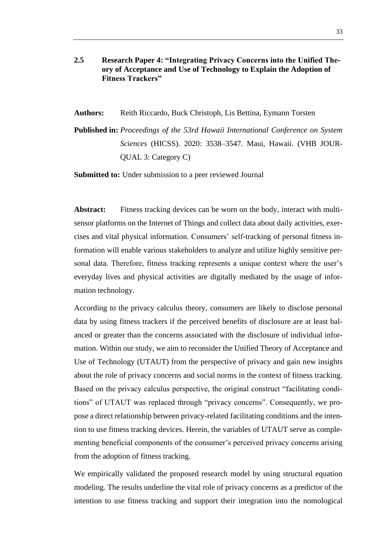- <span id="page-38-0"></span>**2.5 Research Paper 4: "Integrating Privacy Concerns into the Unified Theory of Acceptance and Use of Technology to Explain the Adoption of Fitness Trackers"**
- **Authors:** Reith Riccardo, Buck Christoph, Lis Bettina, Eymann Torsten
- **Published in:** *Proceedings of the 53rd Hawaii International Conference on System Sciences* (HICSS). 2020: 3538–3547. Maui, Hawaii. (VHB JOUR-QUAL 3: Category C)

**Submitted to:** Under submission to a peer reviewed Journal

**Abstract:** Fitness tracking devices can be worn on the body, interact with multisensor platforms on the Internet of Things and collect data about daily activities, exercises and vital physical information. Consumers' self-tracking of personal fitness information will enable various stakeholders to analyze and utilize highly sensitive personal data. Therefore, fitness tracking represents a unique context where the user's everyday lives and physical activities are digitally mediated by the usage of information technology.

According to the privacy calculus theory, consumers are likely to disclose personal data by using fitness trackers if the perceived benefits of disclosure are at least balanced or greater than the concerns associated with the disclosure of individual information. Within our study, we aim to reconsider the Unified Theory of Acceptance and Use of Technology (UTAUT) from the perspective of privacy and gain new insights about the role of privacy concerns and social norms in the context of fitness tracking. Based on the privacy calculus perspective, the original construct "facilitating conditions" of UTAUT was replaced through "privacy concerns". Consequently, we propose a direct relationship between privacy-related facilitating conditions and the intention to use fitness tracking devices. Herein, the variables of UTAUT serve as complementing beneficial components of the consumer's perceived privacy concerns arising from the adoption of fitness tracking.

We empirically validated the proposed research model by using structural equation modeling. The results underline the vital role of privacy concerns as a predictor of the intention to use fitness tracking and support their integration into the nomological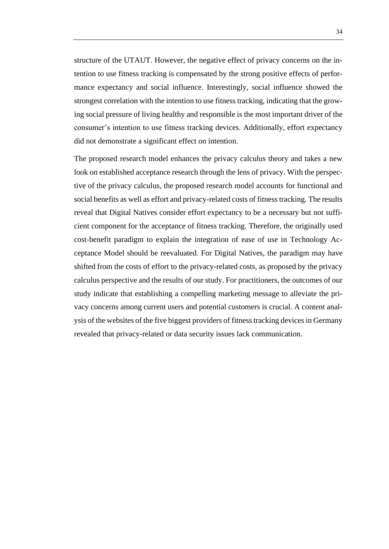structure of the UTAUT. However, the negative effect of privacy concerns on the intention to use fitness tracking is compensated by the strong positive effects of performance expectancy and social influence. Interestingly, social influence showed the strongest correlation with the intention to use fitness tracking, indicating that the growing social pressure of living healthy and responsible is the most important driver of the consumer's intention to use fitness tracking devices. Additionally, effort expectancy did not demonstrate a significant effect on intention.

The proposed research model enhances the privacy calculus theory and takes a new look on established acceptance research through the lens of privacy. With the perspective of the privacy calculus, the proposed research model accounts for functional and social benefits as well as effort and privacy-related costs of fitness tracking. The results reveal that Digital Natives consider effort expectancy to be a necessary but not sufficient component for the acceptance of fitness tracking. Therefore, the originally used cost-benefit paradigm to explain the integration of ease of use in Technology Acceptance Model should be reevaluated. For Digital Natives, the paradigm may have shifted from the costs of effort to the privacy-related costs, as proposed by the privacy calculus perspective and the results of our study. For practitioners, the outcomes of our study indicate that establishing a compelling marketing message to alleviate the privacy concerns among current users and potential customers is crucial. A content analysis of the websites of the five biggest providers of fitness tracking devices in Germany revealed that privacy-related or data security issues lack communication.